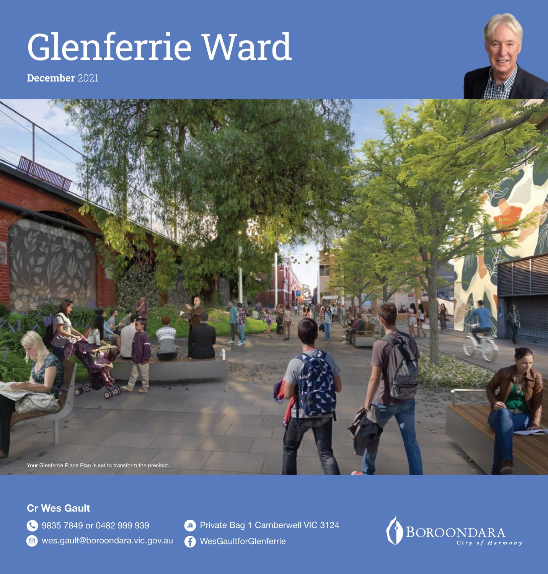# Glenferrie Ward

**December** 2021





### Cr Wes Gault

**3835 7849 or 0482 999 939** 

wes.gault@boroondara.vic.gov.au

- **2** Private Bag 1 Camberwell VIC 3124
- **C** [WesGaultforGlenferrie](https://www.facebook.com/WesGaultforGlenferrie/)

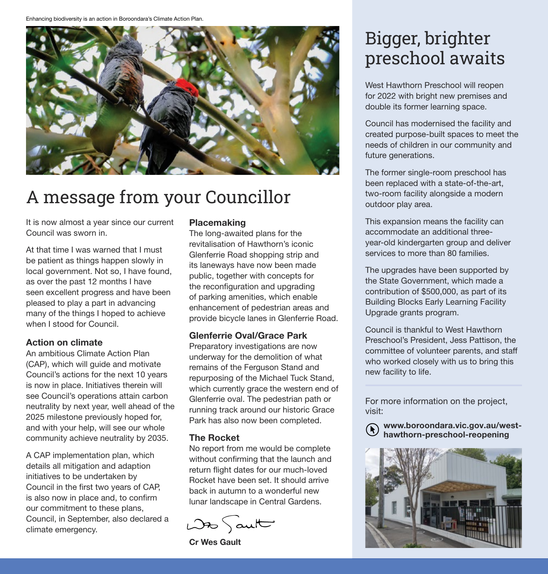Enhancing biodiversity is an action in Boroondara's Climate Action Plan.



### A message from your Councillor

It is now almost a year since our current Council was sworn in.

At that time I was warned that I must be patient as things happen slowly in local government. Not so, I have found, as over the past 12 months I have seen excellent progress and have been pleased to play a part in advancing many of the things I hoped to achieve when I stood for Council.

#### Action on climate

An ambitious Climate Action Plan (CAP), which will guide and motivate Council's actions for the next 10 years is now in place. Initiatives therein will see Council's operations attain carbon neutrality by next year, well ahead of the 2025 milestone previously hoped for, and with your help, will see our whole community achieve neutrality by 2035.

A CAP implementation plan, which details all mitigation and adaption initiatives to be undertaken by Council in the first two years of CAP, is also now in place and, to confirm our commitment to these plans, Council, in September, also declared a climate emergency.

#### **Placemaking**

The long-awaited plans for the revitalisation of Hawthorn's iconic Glenferrie Road shopping strip and its laneways have now been made public, together with concepts for the reconfiguration and upgrading of parking amenities, which enable enhancement of pedestrian areas and provide bicycle lanes in Glenferrie Road.

#### Glenferrie Oval/Grace Park

Preparatory investigations are now underway for the demolition of what remains of the Ferguson Stand and repurposing of the Michael Tuck Stand, which currently grace the western end of Glenferrie oval. The pedestrian path or running track around our historic Grace Park has also now been completed.

#### The Rocket

No report from me would be complete without confirming that the launch and return flight dates for our much-loved Rocket have been set. It should arrive back in autumn to a wonderful new lunar landscape in Central Gardens.

 $D25$  aut

Cr Wes Gault

### Bigger, brighter preschool awaits

West Hawthorn Preschool will reopen for 2022 with bright new premises and double its former learning space.

Council has modernised the facility and created purpose-built spaces to meet the needs of children in our community and future generations.

The former single-room preschool has been replaced with a state-of-the-art, two-room facility alongside a modern outdoor play area.

This expansion means the facility can accommodate an additional threeyear-old kindergarten group and deliver services to more than 80 families.

The upgrades have been supported by the State Government, which made a contribution of \$500,000, as part of its Building Blocks Early Learning Facility Upgrade grants program.

Council is thankful to West Hawthorn Preschool's President, Jess Pattison, the committee of volunteer parents, and staff who worked closely with us to bring this new facility to life.

For more information on the project, visit:

[www.boroondara.vic.gov.au/west](http://www.boroondara.vic.gov.au/west-hawthorn-preschool-reopening)hawthorn-preschool-reopening

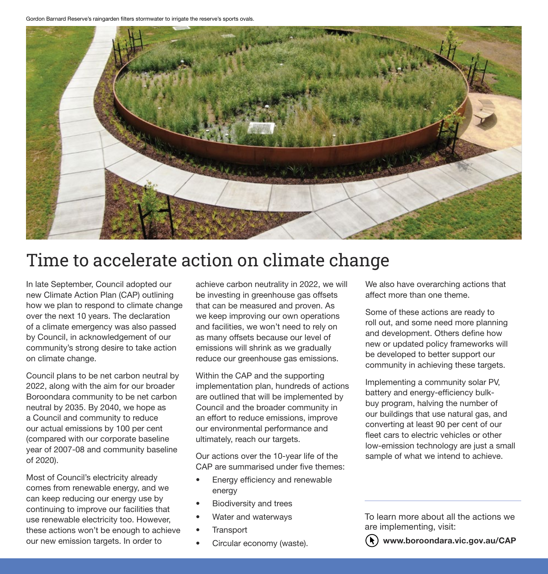Gordon Barnard Reserve's raingarden filters stormwater to irrigate the reserve's sports ovals.



### Time to accelerate action on climate change

In late September, Council adopted our new Climate Action Plan (CAP) outlining how we plan to respond to climate change over the next 10 years. The declaration of a climate emergency was also passed by Council, in acknowledgement of our community's strong desire to take action on climate change.

Council plans to be net carbon neutral by 2022, along with the aim for our broader Boroondara community to be net carbon neutral by 2035. By 2040, we hope as a Council and community to reduce our actual emissions by 100 per cent (compared with our corporate baseline year of 2007-08 and community baseline of 2020).

Most of Council's electricity already comes from renewable energy, and we can keep reducing our energy use by continuing to improve our facilities that use renewable electricity too. However, these actions won't be enough to achieve our new emission targets. In order to

achieve carbon neutrality in 2022, we will be investing in greenhouse gas offsets that can be measured and proven. As we keep improving our own operations and facilities, we won't need to rely on as many offsets because our level of emissions will shrink as we gradually reduce our greenhouse gas emissions.

Within the CAP and the supporting implementation plan, hundreds of actions are outlined that will be implemented by Council and the broader community in an effort to reduce emissions, improve our environmental performance and ultimately, reach our targets.

Our actions over the 10-year life of the CAP are summarised under five themes:

- Energy efficiency and renewable energy
- Biodiversity and trees
- Water and waterways
- **Transport**
- Circular economy (waste).

We also have overarching actions that affect more than one theme.

Some of these actions are ready to roll out, and some need more planning and development. Others define how new or updated policy frameworks will be developed to better support our community in achieving these targets.

Implementing a community solar PV, battery and energy-efficiency bulkbuy program, halving the number of our buildings that use natural gas, and converting at least 90 per cent of our fleet cars to electric vehicles or other low-emission technology are just a small sample of what we intend to achieve.

To learn more about all the actions we are implementing, visit:



[www.boroondara.vic.gov.au/CAP](http://www.boroondara.vic.gov.au/CAP)